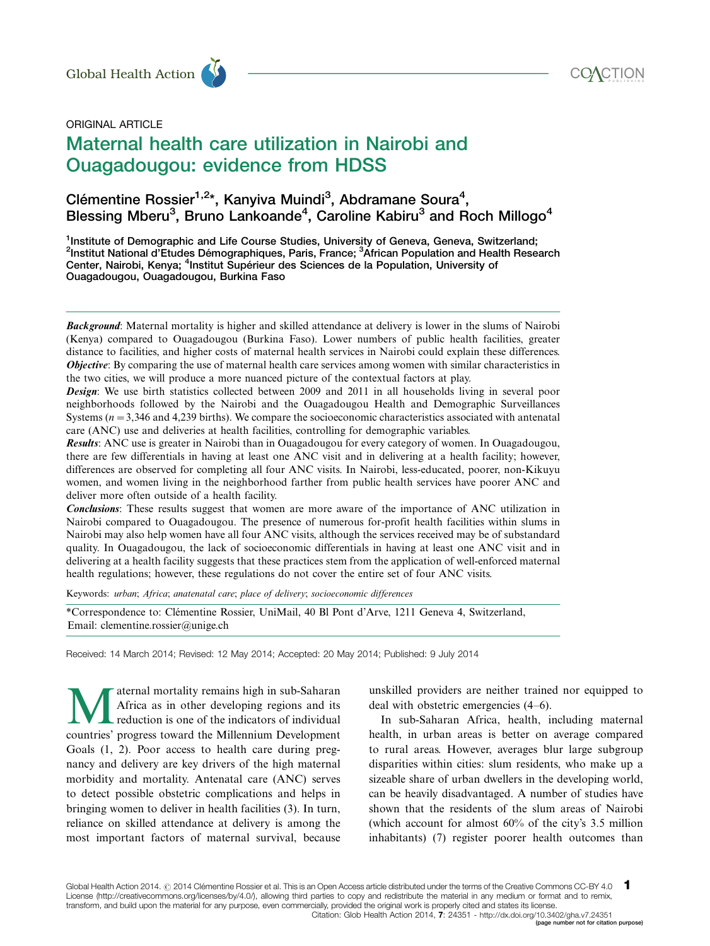

# ORIGINAL ARTICLE

# Maternal health care utilization in Nairobi and Ouagadougou: evidence from HDSS Global Health Action<br>
ORIGINAL ARTICLE<br>
Maternal health care utilization in Nairobi and

# Clémentine Rossier<sup>1,2\*</sup>, Kanyiva Muindi<sup>3</sup>, Abdramane Soura<sup>4</sup>, Blessing Mberu<sup>3</sup>, Bruno Lankoande<sup>4</sup>, Caroline Kabiru<sup>3</sup> and Roch Millogo<sup>4</sup>

<sup>1</sup>Institute of Demographic and Life Course Studies, University of Geneva, Geneva, Switzerland; <sup>2</sup>Institut National d'Etudes Démographiques, Paris, France; <sup>3</sup>African Population and Health Research Center, Nairobi, Kenya; <sup>4</sup>Institut Supérieur des Sciences de la Population, University of Ouagadougou, Ouagadougou, Burkina Faso

**Background:** Maternal mortality is higher and skilled attendance at delivery is lower in the slums of Nairobi (Kenya) compared to Ouagadougou (Burkina Faso). Lower numbers of public health facilities, greater distance to facilities, and higher costs of maternal health services in Nairobi could explain these differences. **Objective:** By comparing the use of maternal health care services among women with similar characteristics in the two cities, we will produce a more nuanced picture of the contextual factors at play.

**Design:** We use birth statistics collected between 2009 and 2011 in all households living in several poor neighborhoods followed by the Nairobi and the Ouagadougou Health and Demographic Surveillances Systems ( $n = 3,346$  and 4,239 births). We compare the socioeconomic characteristics associated with antenatal care (ANC) use and deliveries at health facilities, controlling for demographic variables.

Results: ANC use is greater in Nairobi than in Ouagadougou for every category of women. In Ouagadougou, there are few differentials in having at least one ANC visit and in delivering at a health facility; however, differences are observed for completing all four ANC visits. In Nairobi, less-educated, poorer, non-Kikuyu women, and women living in the neighborhood farther from public health services have poorer ANC and deliver more often outside of a health facility.

Conclusions: These results suggest that women are more aware of the importance of ANC utilization in Nairobi compared to Ouagadougou. The presence of numerous for-profit health facilities within slums in Nairobi may also help women have all four ANC visits, although the services received may be of substandard quality. In Ouagadougou, the lack of socioeconomic differentials in having at least one ANC visit and in delivering at a health facility suggests that these practices stem from the application of well-enforced maternal health regulations; however, these regulations do not cover the entire set of four ANC visits.

Keywords: urban; Africa; anatenatal care; place of delivery; socioeconomic differences

\*Correspondence to: Cle´mentine Rossier, UniMail, 40 Bl Pont d'Arve, 1211 Geneva 4, Switzerland, Email: clementine.rossier@unige.ch

Received: 14 March 2014; Revised: 12 May 2014; Accepted: 20 May 2014; Published: 9 July 2014

aternal mortality remains high in sub-Saharan Africa as in other developing regions and its reduction is one of the indicators of individual countries' progress toward the Millennium Development Goals (1, 2). Poor access to health care during pregnancy and delivery are key drivers of the high maternal morbidity and mortality. Antenatal care (ANC) serves to detect possible obstetric complications and helps in bringing women to deliver in health facilities (3). In turn, reliance on skilled attendance at delivery is among the most important factors of maternal survival, because unskilled providers are neither trained nor equipped to deal with obstetric emergencies  $(4-6)$ .

In sub-Saharan Africa, health, including maternal health, in urban areas is better on average compared to rural areas. However, averages blur large subgroup disparities within cities: slum residents, who make up a sizeable share of urban dwellers in the developing world, can be heavily disadvantaged. A number of studies have shown that the residents of the slum areas of Nairobi (which account for almost 60% of the city's 3.5 million inhabitants) (7) register poorer health outcomes than

(page number not for citation purpose)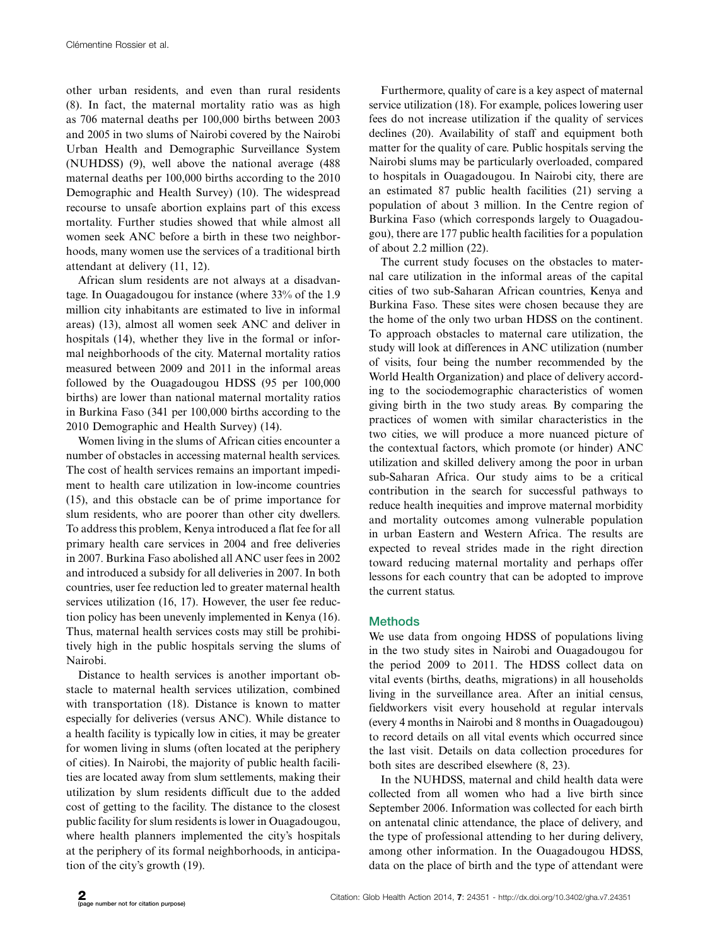other urban residents, and even than rural residents (8). In fact, the maternal mortality ratio was as high as 706 maternal deaths per 100,000 births between 2003 and 2005 in two slums of Nairobi covered by the Nairobi Urban Health and Demographic Surveillance System (NUHDSS) (9), well above the national average (488 maternal deaths per 100,000 births according to the 2010 Demographic and Health Survey) (10). The widespread recourse to unsafe abortion explains part of this excess mortality. Further studies showed that while almost all women seek ANC before a birth in these two neighborhoods, many women use the services of a traditional birth attendant at delivery (11, 12).

African slum residents are not always at a disadvantage. In Ouagadougou for instance (where 33% of the 1.9 million city inhabitants are estimated to live in informal areas) (13), almost all women seek ANC and deliver in hospitals (14), whether they live in the formal or informal neighborhoods of the city. Maternal mortality ratios measured between 2009 and 2011 in the informal areas followed by the Ouagadougou HDSS (95 per 100,000 births) are lower than national maternal mortality ratios in Burkina Faso (341 per 100,000 births according to the 2010 Demographic and Health Survey) (14).

Women living in the slums of African cities encounter a number of obstacles in accessing maternal health services. The cost of health services remains an important impediment to health care utilization in low-income countries (15), and this obstacle can be of prime importance for slum residents, who are poorer than other city dwellers. To address this problem, Kenya introduced a flat fee for all primary health care services in 2004 and free deliveries in 2007. Burkina Faso abolished all ANC user fees in 2002 and introduced a subsidy for all deliveries in 2007. In both countries, user fee reduction led to greater maternal health services utilization (16, 17). However, the user fee reduction policy has been unevenly implemented in Kenya (16). Thus, maternal health services costs may still be prohibitively high in the public hospitals serving the slums of Nairobi.

Distance to health services is another important obstacle to maternal health services utilization, combined with transportation (18). Distance is known to matter especially for deliveries (versus ANC). While distance to a health facility is typically low in cities, it may be greater for women living in slums (often located at the periphery of cities). In Nairobi, the majority of public health facilities are located away from slum settlements, making their utilization by slum residents difficult due to the added cost of getting to the facility. The distance to the closest public facility for slum residents is lower in Ouagadougou, where health planners implemented the city's hospitals at the periphery of its formal neighborhoods, in anticipation of the city's growth (19).

Furthermore, quality of care is a key aspect of maternal service utilization (18). For example, polices lowering user fees do not increase utilization if the quality of services declines (20). Availability of staff and equipment both matter for the quality of care. Public hospitals serving the Nairobi slums may be particularly overloaded, compared to hospitals in Ouagadougou. In Nairobi city, there are an estimated 87 public health facilities (21) serving a population of about 3 million. In the Centre region of Burkina Faso (which corresponds largely to Ouagadougou), there are 177 public health facilities for a population of about 2.2 million (22).

The current study focuses on the obstacles to maternal care utilization in the informal areas of the capital cities of two sub-Saharan African countries, Kenya and Burkina Faso. These sites were chosen because they are the home of the only two urban HDSS on the continent. To approach obstacles to maternal care utilization, the study will look at differences in ANC utilization (number of visits, four being the number recommended by the World Health Organization) and place of delivery according to the sociodemographic characteristics of women giving birth in the two study areas. By comparing the practices of women with similar characteristics in the two cities, we will produce a more nuanced picture of the contextual factors, which promote (or hinder) ANC utilization and skilled delivery among the poor in urban sub-Saharan Africa. Our study aims to be a critical contribution in the search for successful pathways to reduce health inequities and improve maternal morbidity and mortality outcomes among vulnerable population in urban Eastern and Western Africa. The results are expected to reveal strides made in the right direction toward reducing maternal mortality and perhaps offer lessons for each country that can be adopted to improve the current status.

# **Methods**

We use data from ongoing HDSS of populations living in the two study sites in Nairobi and Ouagadougou for the period 2009 to 2011. The HDSS collect data on vital events (births, deaths, migrations) in all households living in the surveillance area. After an initial census, fieldworkers visit every household at regular intervals (every 4 months in Nairobi and 8 months in Ouagadougou) to record details on all vital events which occurred since the last visit. Details on data collection procedures for both sites are described elsewhere (8, 23).

In the NUHDSS, maternal and child health data were collected from all women who had a live birth since September 2006. Information was collected for each birth on antenatal clinic attendance, the place of delivery, and the type of professional attending to her during delivery, among other information. In the Ouagadougou HDSS, data on the place of birth and the type of attendant were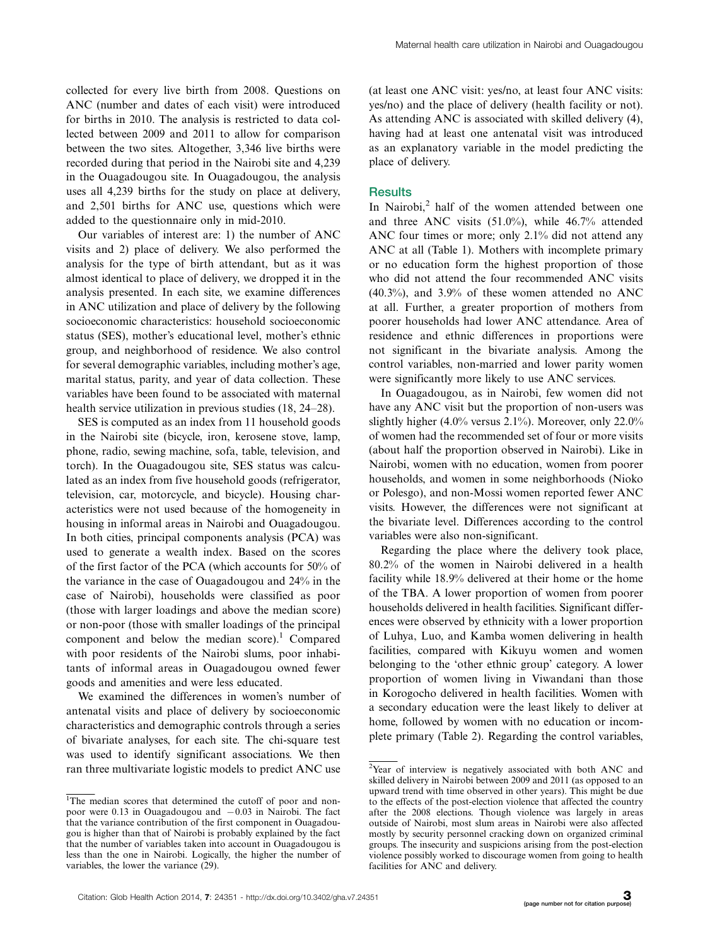collected for every live birth from 2008. Questions on ANC (number and dates of each visit) were introduced for births in 2010. The analysis is restricted to data collected between 2009 and 2011 to allow for comparison between the two sites. Altogether, 3,346 live births were recorded during that period in the Nairobi site and 4,239 in the Ouagadougou site. In Ouagadougou, the analysis uses all 4,239 births for the study on place at delivery, and 2,501 births for ANC use, questions which were added to the questionnaire only in mid-2010.

Our variables of interest are: 1) the number of ANC visits and 2) place of delivery. We also performed the analysis for the type of birth attendant, but as it was almost identical to place of delivery, we dropped it in the analysis presented. In each site, we examine differences in ANC utilization and place of delivery by the following socioeconomic characteristics: household socioeconomic status (SES), mother's educational level, mother's ethnic group, and neighborhood of residence. We also control for several demographic variables, including mother's age, marital status, parity, and year of data collection. These variables have been found to be associated with maternal health service utilization in previous studies  $(18, 24-28)$ .

SES is computed as an index from 11 household goods in the Nairobi site (bicycle, iron, kerosene stove, lamp, phone, radio, sewing machine, sofa, table, television, and torch). In the Ouagadougou site, SES status was calculated as an index from five household goods (refrigerator, television, car, motorcycle, and bicycle). Housing characteristics were not used because of the homogeneity in housing in informal areas in Nairobi and Ouagadougou. In both cities, principal components analysis (PCA) was used to generate a wealth index. Based on the scores of the first factor of the PCA (which accounts for 50% of the variance in the case of Ouagadougou and 24% in the case of Nairobi), households were classified as poor (those with larger loadings and above the median score) or non-poor (those with smaller loadings of the principal component and below the median score). $^1$  Compared with poor residents of the Nairobi slums, poor inhabitants of informal areas in Ouagadougou owned fewer goods and amenities and were less educated.

We examined the differences in women's number of antenatal visits and place of delivery by socioeconomic characteristics and demographic controls through a series of bivariate analyses, for each site. The chi-square test was used to identify significant associations. We then ran three multivariate logistic models to predict ANC use (at least one ANC visit: yes/no, at least four ANC visits: yes/no) and the place of delivery (health facility or not). As attending ANC is associated with skilled delivery (4), having had at least one antenatal visit was introduced as an explanatory variable in the model predicting the place of delivery.

### **Results**

In Nairobi, $<sup>2</sup>$  half of the women attended between one</sup> and three ANC visits (51.0%), while 46.7% attended ANC four times or more; only 2.1% did not attend any ANC at all (Table 1). Mothers with incomplete primary or no education form the highest proportion of those who did not attend the four recommended ANC visits  $(40.3\%)$ , and 3.9% of these women attended no ANC at all. Further, a greater proportion of mothers from poorer households had lower ANC attendance. Area of residence and ethnic differences in proportions were not significant in the bivariate analysis. Among the control variables, non-married and lower parity women were significantly more likely to use ANC services.

In Ouagadougou, as in Nairobi, few women did not have any ANC visit but the proportion of non-users was slightly higher (4.0% versus 2.1%). Moreover, only 22.0% of women had the recommended set of four or more visits (about half the proportion observed in Nairobi). Like in Nairobi, women with no education, women from poorer households, and women in some neighborhoods (Nioko or Polesgo), and non-Mossi women reported fewer ANC visits. However, the differences were not significant at the bivariate level. Differences according to the control variables were also non-significant.

Regarding the place where the delivery took place, 80.2% of the women in Nairobi delivered in a health facility while 18.9% delivered at their home or the home of the TBA. A lower proportion of women from poorer households delivered in health facilities. Significant differences were observed by ethnicity with a lower proportion of Luhya, Luo, and Kamba women delivering in health facilities, compared with Kikuyu women and women belonging to the 'other ethnic group' category. A lower proportion of women living in Viwandani than those in Korogocho delivered in health facilities. Women with a secondary education were the least likely to deliver at home, followed by women with no education or incomplete primary (Table 2). Regarding the control variables,

<sup>&</sup>lt;sup>1</sup>The median scores that determined the cutoff of poor and nonpoor were 0.13 in Ouagadougou and  $-0.03$  in Nairobi. The fact that the variance contribution of the first component in Ouagadougou is higher than that of Nairobi is probably explained by the fact that the number of variables taken into account in Ouagadougou is less than the one in Nairobi. Logically, the higher the number of variables, the lower the variance (29).

<sup>&</sup>lt;sup>2</sup>Year of interview is negatively associated with both ANC and skilled delivery in Nairobi between 2009 and 2011 (as opposed to an upward trend with time observed in other years). This might be due to the effects of the post-election violence that affected the country after the 2008 elections. Though violence was largely in areas outside of Nairobi, most slum areas in Nairobi were also affected mostly by security personnel cracking down on organized criminal groups. The insecurity and suspicions arising from the post-election violence possibly worked to discourage women from going to health facilities for ANC and delivery.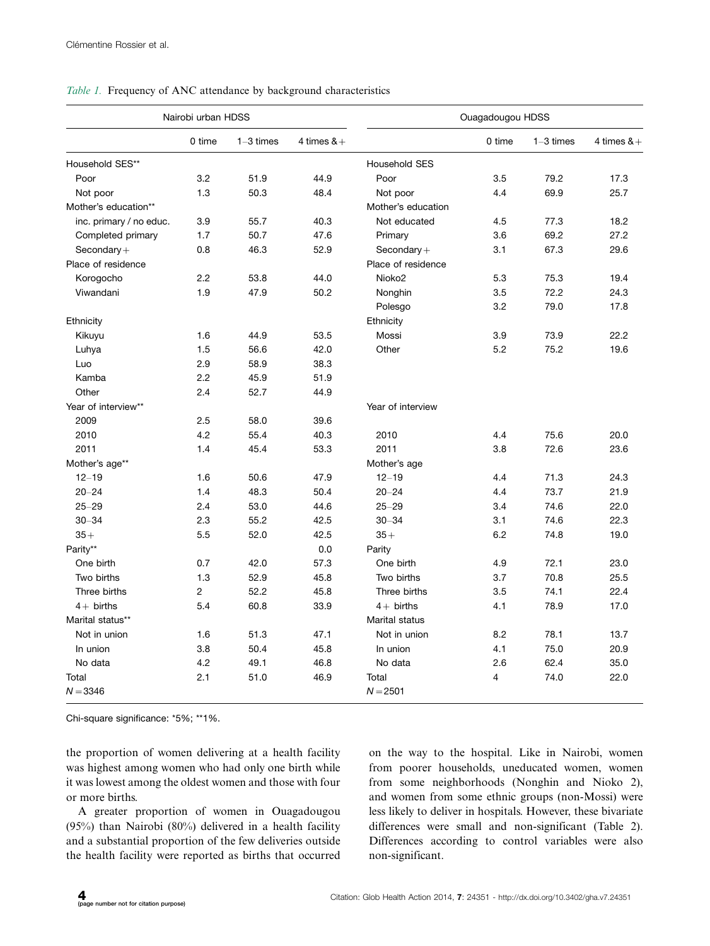|                         | Nairobi urban HDSS |             | Ouagadougou HDSS |                      |        |             |              |
|-------------------------|--------------------|-------------|------------------|----------------------|--------|-------------|--------------|
|                         | 0 time             | $1-3$ times | 4 times $&+$     |                      | 0 time | $1-3$ times | 4 times $&+$ |
| Household SES**         |                    |             |                  | <b>Household SES</b> |        |             |              |
| Poor                    | 3.2                | 51.9        | 44.9             | Poor                 | 3.5    | 79.2        | 17.3         |
| Not poor                | 1.3                | 50.3        | 48.4             | Not poor             | 4.4    | 69.9        | 25.7         |
| Mother's education**    |                    |             |                  | Mother's education   |        |             |              |
| inc. primary / no educ. | 3.9                | 55.7        | 40.3             | Not educated         | 4.5    | 77.3        | 18.2         |
| Completed primary       | 1.7                | 50.7        | 47.6             | Primary              | 3.6    | 69.2        | 27.2         |
| $Secondary +$           | 0.8                | 46.3        | 52.9             | $Secondary +$        | 3.1    | 67.3        | 29.6         |
| Place of residence      |                    |             |                  | Place of residence   |        |             |              |
| Korogocho               | 2.2                | 53.8        | 44.0             | Nioko <sub>2</sub>   | 5.3    | 75.3        | 19.4         |
| Viwandani               | 1.9                | 47.9        | 50.2             | Nonghin              | 3.5    | 72.2        | 24.3         |
|                         |                    |             |                  | Polesgo              | 3.2    | 79.0        | 17.8         |
| Ethnicity               |                    |             |                  | Ethnicity            |        |             |              |
| Kikuyu                  | 1.6                | 44.9        | 53.5             | Mossi                | 3.9    | 73.9        | 22.2         |
| Luhya                   | 1.5                | 56.6        | 42.0             | Other                | 5.2    | 75.2        | 19.6         |
| Luo                     | 2.9                | 58.9        | 38.3             |                      |        |             |              |
| Kamba                   | 2.2                | 45.9        | 51.9             |                      |        |             |              |
| Other                   | 2.4                | 52.7        | 44.9             |                      |        |             |              |
| Year of interview**     |                    |             |                  | Year of interview    |        |             |              |
| 2009                    | 2.5                | 58.0        | 39.6             |                      |        |             |              |
| 2010                    | 4.2                | 55.4        | 40.3             | 2010                 | 4.4    | 75.6        | 20.0         |
| 2011                    | 1.4                | 45.4        | 53.3             | 2011                 | 3.8    | 72.6        | 23.6         |
| Mother's age**          |                    |             |                  | Mother's age         |        |             |              |
| $12 - 19$               | 1.6                | 50.6        | 47.9             | $12 - 19$            | 4.4    | 71.3        | 24.3         |
| $20 - 24$               | 1.4                | 48.3        | 50.4             | $20 - 24$            | 4.4    | 73.7        | 21.9         |
| $25 - 29$               | 2.4                | 53.0        | 44.6             | $25 - 29$            | 3.4    | 74.6        | 22.0         |
| $30 - 34$               | 2.3                | 55.2        | 42.5             | $30 - 34$            | 3.1    | 74.6        | 22.3         |
| $35 +$                  | 5.5                | 52.0        | 42.5             | $35+$                | 6.2    | 74.8        | 19.0         |
| Parity**                |                    |             | 0.0              | Parity               |        |             |              |
| One birth               | 0.7                | 42.0        | 57.3             | One birth            | 4.9    | 72.1        | 23.0         |
| Two births              | 1.3                | 52.9        | 45.8             | Two births           | 3.7    | 70.8        | 25.5         |
| Three births            | 2                  | 52.2        | 45.8             | Three births         | 3.5    | 74.1        | 22.4         |
| $4+$ births             | 5.4                | 60.8        | 33.9             | $4+$ births          | 4.1    | 78.9        | 17.0         |
| Marital status**        |                    |             |                  | Marital status       |        |             |              |
| Not in union            | 1.6                | 51.3        | 47.1             | Not in union         | 8.2    | 78.1        | 13.7         |
| In union                | 3.8                | 50.4        | 45.8             | In union             | 4.1    | 75.0        | 20.9         |
| No data                 | 4.2                | 49.1        | 46.8             | No data              | 2.6    | 62.4        | 35.0         |
| Total                   | 2.1                | 51.0        | 46.9             | Total                | 4      | 74.0        | 22.0         |
| $N = 3346$              |                    |             |                  | $N = 2501$           |        |             |              |

#### Table 1. Frequency of ANC attendance by background characteristics

Chi-square significance: \*5%; \*\*1%.

the proportion of women delivering at a health facility was highest among women who had only one birth while it was lowest among the oldest women and those with four or more births.

A greater proportion of women in Ouagadougou (95%) than Nairobi (80%) delivered in a health facility and a substantial proportion of the few deliveries outside the health facility were reported as births that occurred

on the way to the hospital. Like in Nairobi, women from poorer households, uneducated women, women from some neighborhoods (Nonghin and Nioko 2), and women from some ethnic groups (non-Mossi) were less likely to deliver in hospitals. However, these bivariate differences were small and non-significant (Table 2). Differences according to control variables were also non-significant.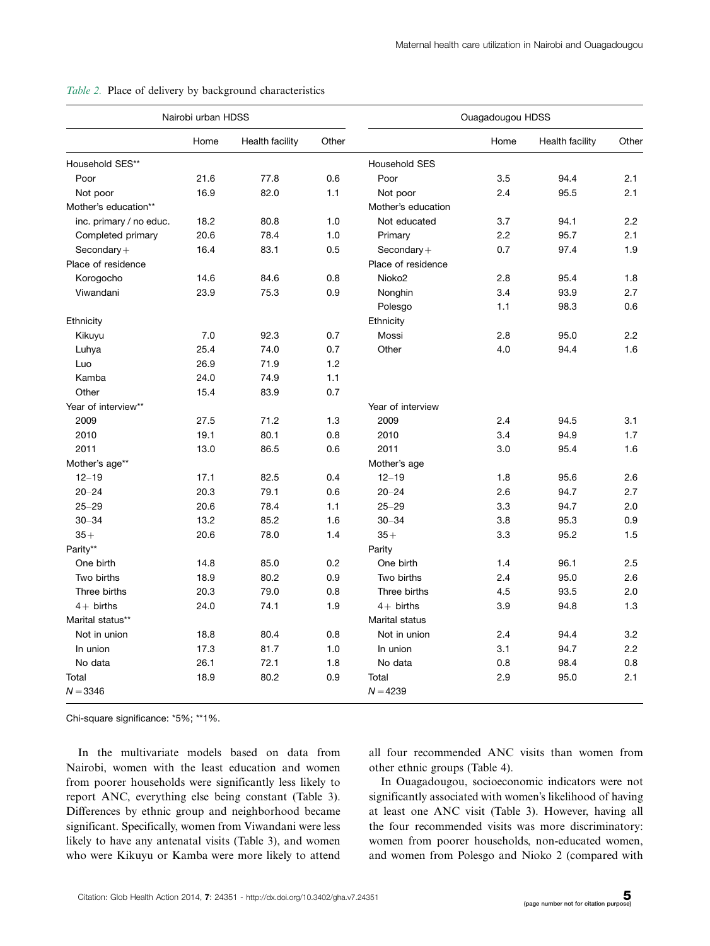|                         | Nairobi urban HDSS |                 | Ouagadougou HDSS |                      |      |                 |       |  |
|-------------------------|--------------------|-----------------|------------------|----------------------|------|-----------------|-------|--|
|                         | Home               | Health facility | Other            |                      | Home | Health facility | Other |  |
| Household SES**         |                    |                 |                  | <b>Household SES</b> |      |                 |       |  |
| Poor                    | 21.6               | 77.8            | 0.6              | Poor                 | 3.5  | 94.4            | 2.1   |  |
| Not poor                | 16.9               | 82.0            | 1.1              | Not poor             | 2.4  | 95.5            | 2.1   |  |
| Mother's education**    |                    |                 |                  | Mother's education   |      |                 |       |  |
| inc. primary / no educ. | 18.2               | 80.8            | 1.0              | Not educated         | 3.7  | 94.1            | 2.2   |  |
| Completed primary       | 20.6               | 78.4            | 1.0              | Primary              | 2.2  | 95.7            | 2.1   |  |
| $Secondary +$           | 16.4               | 83.1            | 0.5              | $Secondary +$        | 0.7  | 97.4            | 1.9   |  |
| Place of residence      |                    |                 |                  | Place of residence   |      |                 |       |  |
| Korogocho               | 14.6               | 84.6            | 0.8              | Nioko <sub>2</sub>   | 2.8  | 95.4            | 1.8   |  |
| Viwandani               | 23.9               | 75.3            | 0.9              | Nonghin              | 3.4  | 93.9            | 2.7   |  |
|                         |                    |                 |                  | Polesgo              | 1.1  | 98.3            | 0.6   |  |
| Ethnicity               |                    |                 |                  | Ethnicity            |      |                 |       |  |
| Kikuyu                  | 7.0                | 92.3            | 0.7              | Mossi                | 2.8  | 95.0            | 2.2   |  |
| Luhya                   | 25.4               | 74.0            | 0.7              | Other                | 4.0  | 94.4            | 1.6   |  |
| Luo                     | 26.9               | 71.9            | 1.2              |                      |      |                 |       |  |
| Kamba                   | 24.0               | 74.9            | 1.1              |                      |      |                 |       |  |
| Other                   | 15.4               | 83.9            | 0.7              |                      |      |                 |       |  |
| Year of interview**     |                    |                 |                  | Year of interview    |      |                 |       |  |
| 2009                    | 27.5               | 71.2            | 1.3              | 2009                 | 2.4  | 94.5            | 3.1   |  |
| 2010                    | 19.1               | 80.1            | 0.8              | 2010                 | 3.4  | 94.9            | 1.7   |  |
| 2011                    | 13.0               | 86.5            | 0.6              | 2011                 | 3.0  | 95.4            | 1.6   |  |
| Mother's age**          |                    |                 |                  | Mother's age         |      |                 |       |  |
| $12 - 19$               | 17.1               | 82.5            | 0.4              | $12 - 19$            | 1.8  | 95.6            | 2.6   |  |
| $20 - 24$               | 20.3               | 79.1            | 0.6              | $20 - 24$            | 2.6  | 94.7            | 2.7   |  |
| $25 - 29$               | 20.6               | 78.4            | 1.1              | $25 - 29$            | 3.3  | 94.7            | 2.0   |  |
| $30 - 34$               | 13.2               | 85.2            | 1.6              | $30 - 34$            | 3.8  | 95.3            | 0.9   |  |
| $35+$                   | 20.6               | 78.0            | 1.4              | $35 +$               | 3.3  | 95.2            | 1.5   |  |
| Parity**                |                    |                 |                  | Parity               |      |                 |       |  |
| One birth               | 14.8               | 85.0            | 0.2              | One birth            | 1.4  | 96.1            | 2.5   |  |
| Two births              | 18.9               | 80.2            | 0.9              | Two births           | 2.4  | 95.0            | 2.6   |  |
| Three births            | 20.3               | 79.0            | 0.8              | Three births         | 4.5  | 93.5            | 2.0   |  |
| $4+$ births             | 24.0               | 74.1            | 1.9              | $4+$ births          | 3.9  | 94.8            | 1.3   |  |
| Marital status**        |                    |                 |                  | Marital status       |      |                 |       |  |
| Not in union            | 18.8               | 80.4            | 0.8              | Not in union         | 2.4  | 94.4            | 3.2   |  |
| In union                | 17.3               | 81.7            | 1.0              | In union             | 3.1  | 94.7            | 2.2   |  |
| No data                 | 26.1               | 72.1            | 1.8              | No data              | 0.8  | 98.4            | 0.8   |  |
| Total                   | 18.9               | 80.2            | 0.9              | Total                | 2.9  | 95.0            | 2.1   |  |
| $N = 3346$              |                    |                 |                  | $N = 4239$           |      |                 |       |  |

#### Table 2. Place of delivery by background characteristics

Chi-square significance: \*5%; \*\*1%.

In the multivariate models based on data from Nairobi, women with the least education and women from poorer households were significantly less likely to report ANC, everything else being constant (Table 3). Differences by ethnic group and neighborhood became significant. Specifically, women from Viwandani were less likely to have any antenatal visits (Table 3), and women who were Kikuyu or Kamba were more likely to attend

all four recommended ANC visits than women from other ethnic groups (Table 4).

In Ouagadougou, socioeconomic indicators were not significantly associated with women's likelihood of having at least one ANC visit (Table 3). However, having all the four recommended visits was more discriminatory: women from poorer households, non-educated women, and women from Polesgo and Nioko 2 (compared with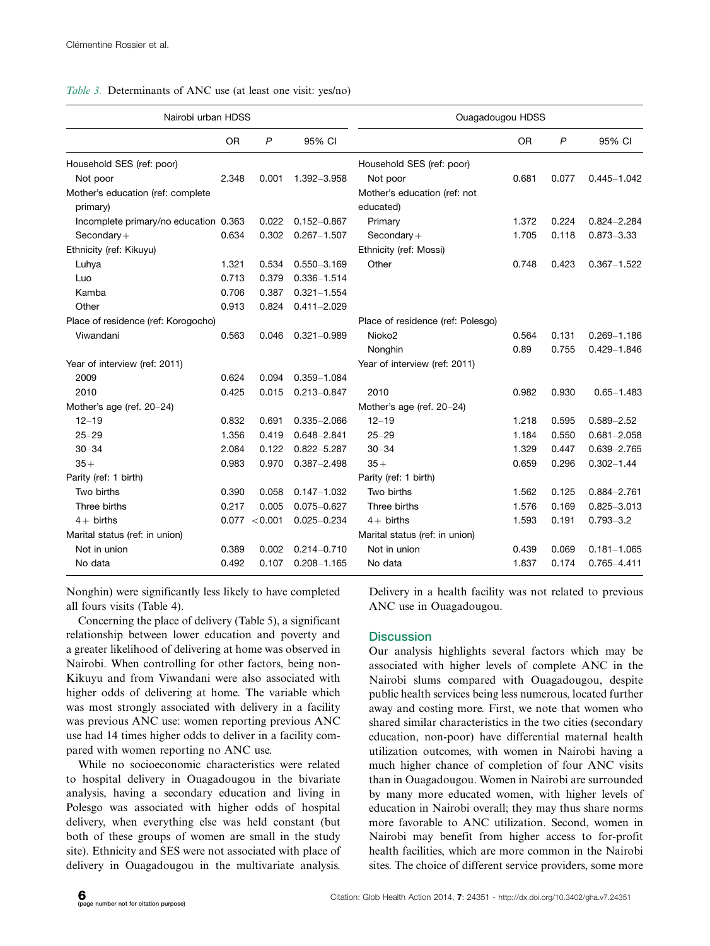# Table 3. Determinants of ANC use (at least one visit: yes/no)

| Nairobi urban HDSS                    |           | Ouagadougou HDSS                  |                 |                                |           |              |                 |
|---------------------------------------|-----------|-----------------------------------|-----------------|--------------------------------|-----------|--------------|-----------------|
|                                       | <b>OR</b> | $\mathsf{P}$                      | 95% CI          |                                | <b>OR</b> | $\mathsf{P}$ | 95% CI          |
| Household SES (ref: poor)             |           |                                   |                 | Household SES (ref: poor)      |           |              |                 |
| Not poor                              | 2.348     | 0.001                             | 1.392-3.958     | Not poor                       | 0.681     | 0.077        | $0.445 - 1.042$ |
| Mother's education (ref: complete     |           |                                   |                 | Mother's education (ref: not   |           |              |                 |
| primary)                              |           |                                   |                 | educated)                      |           |              |                 |
| Incomplete primary/no education 0.363 |           | 0.022                             | $0.152 - 0.867$ | Primary                        | 1.372     | 0.224        | $0.824 - 2.284$ |
| $Secondary +$                         | 0.634     | 0.302                             | $0.267 - 1.507$ | $Secondary +$                  | 1.705     | 0.118        | $0.873 - 3.33$  |
| Ethnicity (ref: Kikuyu)               |           |                                   |                 | Ethnicity (ref: Mossi)         |           |              |                 |
| Luhya                                 | 1.321     | 0.534                             | $0.550 - 3.169$ | Other                          | 0.748     | 0.423        | $0.367 - 1.522$ |
| Luo                                   | 0.713     | 0.379                             | 0.336-1.514     |                                |           |              |                 |
| Kamba                                 | 0.706     | 0.387                             | $0.321 - 1.554$ |                                |           |              |                 |
| Other                                 | 0.913     | 0.824                             | $0.411 - 2.029$ |                                |           |              |                 |
| Place of residence (ref: Korogocho)   |           | Place of residence (ref: Polesgo) |                 |                                |           |              |                 |
| Viwandani                             | 0.563     | 0.046                             | $0.321 - 0.989$ | Nioko <sub>2</sub>             | 0.564     | 0.131        | $0.269 - 1.186$ |
|                                       |           |                                   |                 | Nonghin                        | 0.89      | 0.755        | $0.429 - 1.846$ |
| Year of interview (ref: 2011)         |           |                                   |                 | Year of interview (ref: 2011)  |           |              |                 |
| 2009                                  | 0.624     | 0.094                             | 0.359-1.084     |                                |           |              |                 |
| 2010                                  | 0.425     | 0.015                             | $0.213 - 0.847$ | 2010                           | 0.982     | 0.930        | $0.65 - 1.483$  |
| Mother's age (ref. 20-24)             |           |                                   |                 | Mother's age (ref. 20-24)      |           |              |                 |
| $12 - 19$                             | 0.832     | 0.691                             | $0.335 - 2.066$ | $12 - 19$                      | 1.218     | 0.595        | $0.589 - 2.52$  |
| $25 - 29$                             | 1.356     | 0.419                             | $0.648 - 2.841$ | $25 - 29$                      | 1.184     | 0.550        | $0.681 - 2.058$ |
| $30 - 34$                             | 2.084     | 0.122                             | $0.822 - 5.287$ | $30 - 34$                      | 1.329     | 0.447        | $0.639 - 2.765$ |
| $35+$                                 | 0.983     | 0.970                             | $0.387 - 2.498$ | $35+$                          | 0.659     | 0.296        | $0.302 - 1.44$  |
| Parity (ref: 1 birth)                 |           |                                   |                 | Parity (ref: 1 birth)          |           |              |                 |
| Two births                            | 0.390     | 0.058                             | $0.147 - 1.032$ | Two births                     | 1.562     | 0.125        | $0.884 - 2.761$ |
| Three births                          | 0.217     | 0.005                             | $0.075 - 0.627$ | Three births                   | 1.576     | 0.169        | $0.825 - 3.013$ |
| $4+$ births                           | 0.077     | < 0.001                           | $0.025 - 0.234$ | $4+$ births                    | 1.593     | 0.191        | $0.793 - 3.2$   |
| Marital status (ref: in union)        |           |                                   |                 | Marital status (ref: in union) |           |              |                 |
| Not in union                          | 0.389     | 0.002                             | $0.214 - 0.710$ | Not in union                   | 0.439     | 0.069        | $0.181 - 1.065$ |
| No data                               | 0.492     | 0.107                             | $0.208 - 1.165$ | No data                        | 1.837     | 0.174        | $0.765 - 4.411$ |

Nonghin) were significantly less likely to have completed all fours visits (Table 4).

Concerning the place of delivery (Table 5), a significant relationship between lower education and poverty and a greater likelihood of delivering at home was observed in Nairobi. When controlling for other factors, being non-Kikuyu and from Viwandani were also associated with higher odds of delivering at home. The variable which was most strongly associated with delivery in a facility was previous ANC use: women reporting previous ANC use had 14 times higher odds to deliver in a facility compared with women reporting no ANC use.

While no socioeconomic characteristics were related to hospital delivery in Ouagadougou in the bivariate analysis, having a secondary education and living in Polesgo was associated with higher odds of hospital delivery, when everything else was held constant (but both of these groups of women are small in the study site). Ethnicity and SES were not associated with place of delivery in Ouagadougou in the multivariate analysis.

Delivery in a health facility was not related to previous ANC use in Ouagadougou.

# **Discussion**

Our analysis highlights several factors which may be associated with higher levels of complete ANC in the Nairobi slums compared with Ouagadougou, despite public health services being less numerous, located further away and costing more. First, we note that women who shared similar characteristics in the two cities (secondary education, non-poor) have differential maternal health utilization outcomes, with women in Nairobi having a much higher chance of completion of four ANC visits than in Ouagadougou. Women in Nairobi are surrounded by many more educated women, with higher levels of education in Nairobi overall; they may thus share norms more favorable to ANC utilization. Second, women in Nairobi may benefit from higher access to for-profit health facilities, which are more common in the Nairobi sites. The choice of different service providers, some more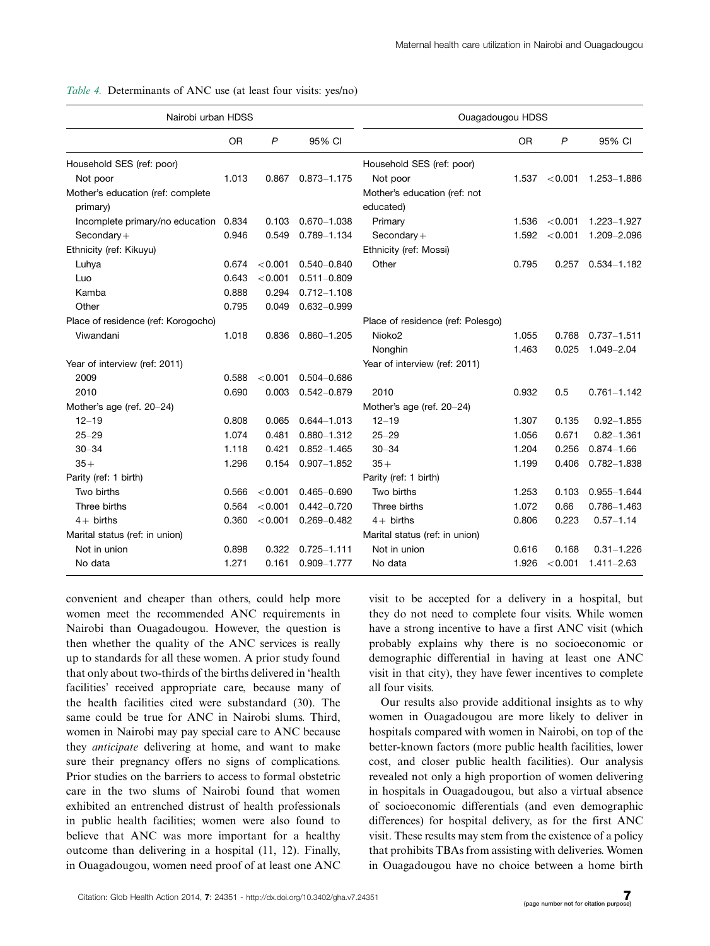| Nairobi urban HDSS                  |           | Ouagadougou HDSS |                 |                                   |           |                |                 |
|-------------------------------------|-----------|------------------|-----------------|-----------------------------------|-----------|----------------|-----------------|
|                                     | <b>OR</b> | P                | 95% CI          |                                   | <b>OR</b> | $\overline{P}$ | 95% CI          |
| Household SES (ref: poor)           |           |                  |                 | Household SES (ref: poor)         |           |                |                 |
| Not poor                            | 1.013     | 0.867            | $0.873 - 1.175$ | Not poor                          | 1.537     | < 0.001        | 1.253-1.886     |
| Mother's education (ref: complete   |           |                  |                 | Mother's education (ref: not      |           |                |                 |
| primary)                            |           |                  |                 | educated)                         |           |                |                 |
| Incomplete primary/no education     | 0.834     | 0.103            | $0.670 - 1.038$ | Primary                           | 1.536     | < 0.001        | 1.223-1.927     |
| $Secondary +$                       | 0.946     | 0.549            | 0.789-1.134     | $Secondary +$                     | 1.592     | < 0.001        | 1.209-2.096     |
| Ethnicity (ref: Kikuyu)             |           |                  |                 | Ethnicity (ref: Mossi)            |           |                |                 |
| Luhya                               | 0.674     | < 0.001          | $0.540 - 0.840$ | Other                             | 0.795     | 0.257          | $0.534 - 1.182$ |
| Luo                                 | 0.643     | < 0.001          | $0.511 - 0.809$ |                                   |           |                |                 |
| Kamba                               | 0.888     | 0.294            | $0.712 - 1.108$ |                                   |           |                |                 |
| Other                               | 0.795     | 0.049            | $0.632 - 0.999$ |                                   |           |                |                 |
| Place of residence (ref: Korogocho) |           |                  |                 | Place of residence (ref: Polesgo) |           |                |                 |
| Viwandani                           | 1.018     | 0.836            | $0.860 - 1.205$ | Nioko <sub>2</sub>                | 1.055     | 0.768          | $0.737 - 1.511$ |
|                                     |           |                  |                 | Nonghin                           | 1.463     | 0.025          | 1.049-2.04      |
| Year of interview (ref: 2011)       |           |                  |                 | Year of interview (ref: 2011)     |           |                |                 |
| 2009                                | 0.588     | < 0.001          | $0.504 - 0.686$ |                                   |           |                |                 |
| 2010                                | 0.690     | 0.003            | $0.542 - 0.879$ | 2010                              | 0.932     | 0.5            | $0.761 - 1.142$ |
| Mother's age (ref. $20-24$ )        |           |                  |                 | Mother's age (ref. $20-24$ )      |           |                |                 |
| $12 - 19$                           | 0.808     | 0.065            | $0.644 - 1.013$ | $12 - 19$                         | 1.307     | 0.135          | $0.92 - 1.855$  |
| $25 - 29$                           | 1.074     | 0.481            | $0.880 - 1.312$ | $25 - 29$                         | 1.056     | 0.671          | $0.82 - 1.361$  |
| $30 - 34$                           | 1.118     | 0.421            | $0.852 - 1.465$ | $30 - 34$                         | 1.204     | 0.256          | $0.874 - 1.66$  |
| $35+$                               | 1.296     | 0.154            | $0.907 - 1.852$ | $35+$                             | 1.199     | 0.406          | $0.782 - 1.838$ |
| Parity (ref: 1 birth)               |           |                  |                 | Parity (ref: 1 birth)             |           |                |                 |
| Two births                          | 0.566     | < 0.001          | $0.465 - 0.690$ | Two births                        | 1.253     | 0.103          | $0.955 - 1.644$ |
| Three births                        | 0.564     | < 0.001          | $0.442 - 0.720$ | Three births                      | 1.072     | 0.66           | $0.786 - 1.463$ |
| $4+$ births                         | 0.360     | < 0.001          | $0.269 - 0.482$ | $4+$ births                       | 0.806     | 0.223          | $0.57 - 1.14$   |
| Marital status (ref: in union)      |           |                  |                 | Marital status (ref: in union)    |           |                |                 |
| Not in union                        | 0.898     | 0.322            | $0.725 - 1.111$ | Not in union                      | 0.616     | 0.168          | $0.31 - 1.226$  |
| No data                             | 1.271     | 0.161            | $0.909 - 1.777$ | No data                           | 1.926     | < 0.001        | $1.411 - 2.63$  |
|                                     |           |                  |                 |                                   |           |                |                 |

#### Table 4. Determinants of ANC use (at least four visits: yes/no)

convenient and cheaper than others, could help more women meet the recommended ANC requirements in Nairobi than Ouagadougou. However, the question is then whether the quality of the ANC services is really up to standards for all these women. A prior study found that only about two-thirds of the births delivered in 'health facilities' received appropriate care, because many of the health facilities cited were substandard (30). The same could be true for ANC in Nairobi slums. Third, women in Nairobi may pay special care to ANC because they anticipate delivering at home, and want to make sure their pregnancy offers no signs of complications. Prior studies on the barriers to access to formal obstetric care in the two slums of Nairobi found that women exhibited an entrenched distrust of health professionals in public health facilities; women were also found to believe that ANC was more important for a healthy outcome than delivering in a hospital (11, 12). Finally, in Ouagadougou, women need proof of at least one ANC

visit to be accepted for a delivery in a hospital, but they do not need to complete four visits. While women have a strong incentive to have a first ANC visit (which probably explains why there is no socioeconomic or demographic differential in having at least one ANC visit in that city), they have fewer incentives to complete all four visits.

Our results also provide additional insights as to why women in Ouagadougou are more likely to deliver in hospitals compared with women in Nairobi, on top of the better-known factors (more public health facilities, lower cost, and closer public health facilities). Our analysis revealed not only a high proportion of women delivering in hospitals in Ouagadougou, but also a virtual absence of socioeconomic differentials (and even demographic differences) for hospital delivery, as for the first ANC visit. These results may stem from the existence of a policy that prohibits TBAs from assisting with deliveries. Women in Ouagadougou have no choice between a home birth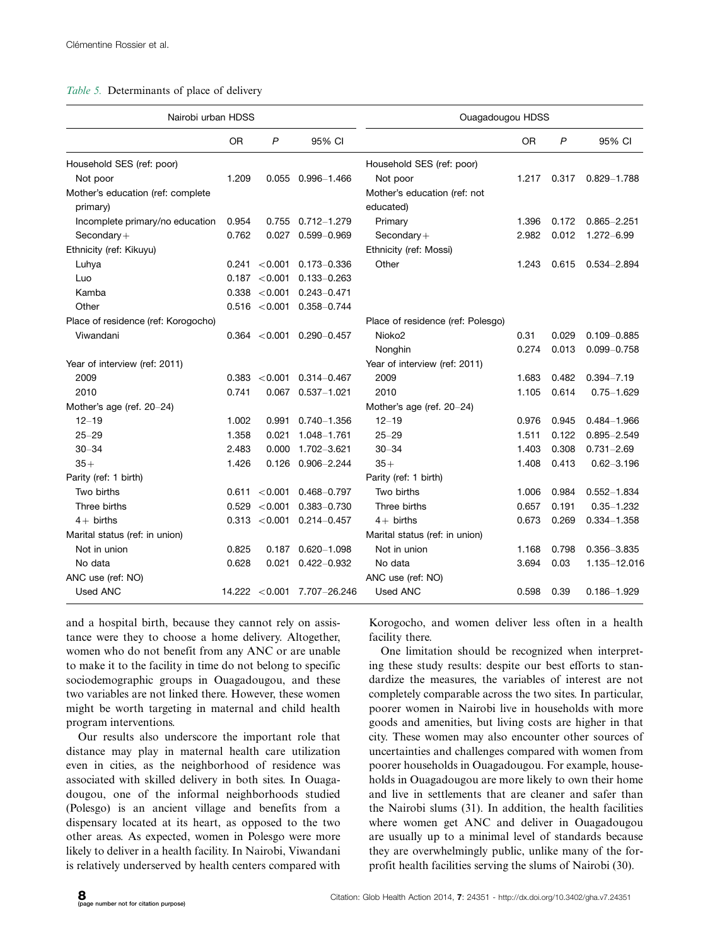# Table 5. Determinants of place of delivery

| Nairobi urban HDSS                  |           | Ouagadougou HDSS  |                               |                                   |       |                |                 |
|-------------------------------------|-----------|-------------------|-------------------------------|-----------------------------------|-------|----------------|-----------------|
|                                     | <b>OR</b> | $\mathsf{P}$      | 95% CI                        |                                   | 0R    | $\overline{P}$ | 95% CI          |
| Household SES (ref: poor)           |           |                   |                               | Household SES (ref: poor)         |       |                |                 |
| Not poor                            | 1.209     | 0.055             | $0.996 - 1.466$               | Not poor                          | 1.217 | 0.317          | $0.829 - 1.788$ |
| Mother's education (ref: complete   |           |                   |                               | Mother's education (ref: not      |       |                |                 |
| primary)                            |           |                   |                               | educated)                         |       |                |                 |
| Incomplete primary/no education     | 0.954     |                   | 0.755 0.712-1.279             | Primary                           | 1.396 | 0.172          | $0.865 - 2.251$ |
| $Secondary +$                       | 0.762     | 0.027             | 0.599-0.969                   | $Secondary +$                     | 2.982 | 0.012          | 1.272-6.99      |
| Ethnicity (ref: Kikuyu)             |           |                   |                               | Ethnicity (ref: Mossi)            |       |                |                 |
| Luhya                               | 0.241     | < 0.001           | $0.173 - 0.336$               | Other                             | 1.243 | 0.615          | $0.534 - 2.894$ |
| Luo                                 | 0.187     | < 0.001           | $0.133 - 0.263$               |                                   |       |                |                 |
| Kamba                               | 0.338     | < 0.001           | $0.243 - 0.471$               |                                   |       |                |                 |
| Other                               |           | 0.516 < 0.001     | 0.358-0.744                   |                                   |       |                |                 |
| Place of residence (ref: Korogocho) |           |                   |                               | Place of residence (ref: Polesgo) |       |                |                 |
| Viwandani                           |           | $0.364 \le 0.001$ | $0.290 - 0.457$               | Nioko <sub>2</sub>                | 0.31  | 0.029          | $0.109 - 0.885$ |
|                                     |           |                   |                               | Nonghin                           | 0.274 | 0.013          | $0.099 - 0.758$ |
| Year of interview (ref: 2011)       |           |                   |                               | Year of interview (ref: 2011)     |       |                |                 |
| 2009                                | 0.383     | < 0.001           | $0.314 - 0.467$               | 2009                              | 1.683 | 0.482          | $0.394 - 7.19$  |
| 2010                                | 0.741     |                   | 0.067 0.537-1.021             | 2010                              | 1.105 | 0.614          | $0.75 - 1.629$  |
| Mother's age (ref. 20-24)           |           |                   |                               | Mother's age (ref. 20-24)         |       |                |                 |
| $12 - 19$                           | 1.002     | 0.991             | $0.740 - 1.356$               | $12 - 19$                         | 0.976 | 0.945          | $0.484 - 1.966$ |
| $25 - 29$                           | 1.358     | 0.021             | 1.048-1.761                   | $25 - 29$                         | 1.511 | 0.122          | $0.895 - 2.549$ |
| $30 - 34$                           | 2.483     | 0.000             | 1.702-3.621                   | $30 - 34$                         | 1.403 | 0.308          | $0.731 - 2.69$  |
| $35+$                               | 1.426     | 0.126             | $0.906 - 2.244$               | $35+$                             | 1.408 | 0.413          | $0.62 - 3.196$  |
| Parity (ref: 1 birth)               |           |                   |                               | Parity (ref: 1 birth)             |       |                |                 |
| Two births                          | 0.611     | < 0.001           | $0.468 - 0.797$               | Two births                        | 1.006 | 0.984          | $0.552 - 1.834$ |
| Three births                        | 0.529     | < 0.001           | 0.383-0.730                   | Three births                      | 0.657 | 0.191          | $0.35 - 1.232$  |
| $4+$ births                         |           | 0.313 < 0.001     | $0.214 - 0.457$               | $4+$ births                       | 0.673 | 0.269          | $0.334 - 1.358$ |
| Marital status (ref: in union)      |           |                   |                               | Marital status (ref: in union)    |       |                |                 |
| Not in union                        | 0.825     | 0.187             | $0.620 - 1.098$               | Not in union                      | 1.168 | 0.798          | 0.356-3.835     |
| No data                             | 0.628     | 0.021             | $0.422 - 0.932$               | No data                           | 3.694 | 0.03           | 1.135-12.016    |
| ANC use (ref: NO)                   |           |                   |                               | ANC use (ref: NO)                 |       |                |                 |
| <b>Used ANC</b>                     |           |                   | $14.222 < 0.001$ 7.707-26.246 | Used ANC                          | 0.598 | 0.39           | $0.186 - 1.929$ |

and a hospital birth, because they cannot rely on assistance were they to choose a home delivery. Altogether, women who do not benefit from any ANC or are unable to make it to the facility in time do not belong to specific sociodemographic groups in Ouagadougou, and these two variables are not linked there. However, these women might be worth targeting in maternal and child health program interventions.

Our results also underscore the important role that distance may play in maternal health care utilization even in cities, as the neighborhood of residence was associated with skilled delivery in both sites. In Ouagadougou, one of the informal neighborhoods studied (Polesgo) is an ancient village and benefits from a dispensary located at its heart, as opposed to the two other areas. As expected, women in Polesgo were more likely to deliver in a health facility. In Nairobi, Viwandani is relatively underserved by health centers compared with Korogocho, and women deliver less often in a health facility there.

One limitation should be recognized when interpreting these study results: despite our best efforts to standardize the measures, the variables of interest are not completely comparable across the two sites. In particular, poorer women in Nairobi live in households with more goods and amenities, but living costs are higher in that city. These women may also encounter other sources of uncertainties and challenges compared with women from poorer households in Ouagadougou. For example, households in Ouagadougou are more likely to own their home and live in settlements that are cleaner and safer than the Nairobi slums (31). In addition, the health facilities where women get ANC and deliver in Ouagadougou are usually up to a minimal level of standards because they are overwhelmingly public, unlike many of the forprofit health facilities serving the slums of Nairobi (30).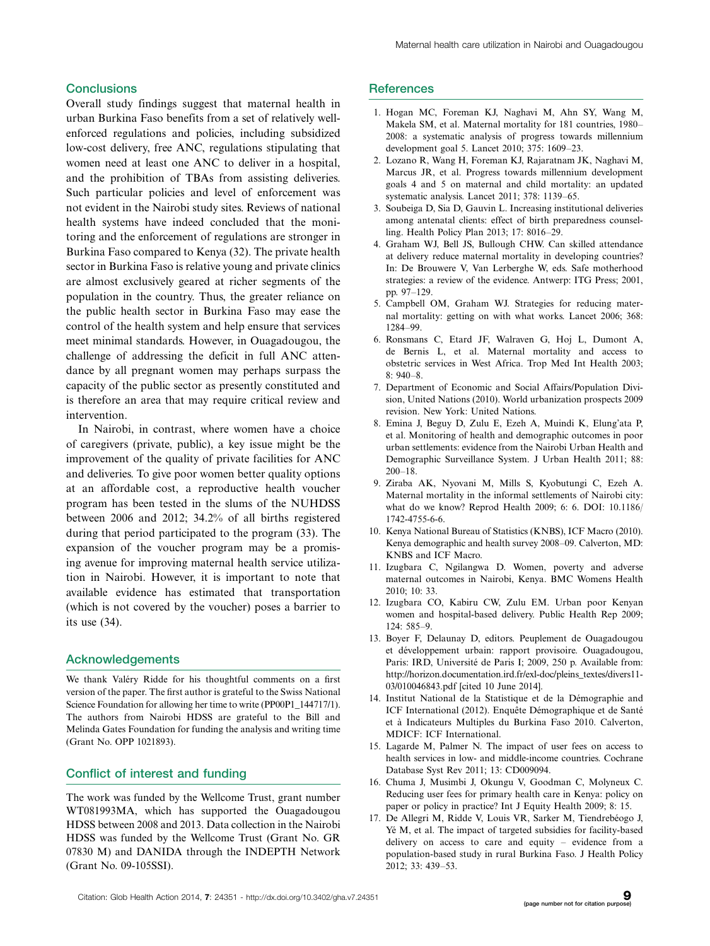# **Conclusions**

Overall study findings suggest that maternal health in urban Burkina Faso benefits from a set of relatively wellenforced regulations and policies, including subsidized low-cost delivery, free ANC, regulations stipulating that women need at least one ANC to deliver in a hospital, and the prohibition of TBAs from assisting deliveries. Such particular policies and level of enforcement was not evident in the Nairobi study sites. Reviews of national health systems have indeed concluded that the monitoring and the enforcement of regulations are stronger in Burkina Faso compared to Kenya (32). The private health sector in Burkina Faso is relative young and private clinics are almost exclusively geared at richer segments of the population in the country. Thus, the greater reliance on the public health sector in Burkina Faso may ease the control of the health system and help ensure that services meet minimal standards. However, in Ouagadougou, the challenge of addressing the deficit in full ANC attendance by all pregnant women may perhaps surpass the capacity of the public sector as presently constituted and is therefore an area that may require critical review and intervention.

In Nairobi, in contrast, where women have a choice of caregivers (private, public), a key issue might be the improvement of the quality of private facilities for ANC and deliveries. To give poor women better quality options at an affordable cost, a reproductive health voucher program has been tested in the slums of the NUHDSS between 2006 and 2012; 34.2% of all births registered during that period participated to the program (33). The expansion of the voucher program may be a promising avenue for improving maternal health service utilization in Nairobi. However, it is important to note that available evidence has estimated that transportation (which is not covered by the voucher) poses a barrier to its use (34).

#### Acknowledgements

We thank Valéry Ridde for his thoughtful comments on a first version of the paper. The first author is grateful to the Swiss National Science Foundation for allowing her time to write (PP00P1\_144717/1). The authors from Nairobi HDSS are grateful to the Bill and Melinda Gates Foundation for funding the analysis and writing time (Grant No. OPP 1021893).

# Conflict of interest and funding

The work was funded by the Wellcome Trust, grant number WT081993MA, which has supported the Ouagadougou HDSS between 2008 and 2013. Data collection in the Nairobi HDSS was funded by the Wellcome Trust (Grant No. GR 07830 M) and DANIDA through the INDEPTH Network (Grant No. 09-105SSI).

#### **References**

- 1. Hogan MC, Foreman KJ, Naghavi M, Ahn SY, Wang M, Makela SM, et al. Maternal mortality for 181 countries, 1980 2008: a systematic analysis of progress towards millennium development goal 5. Lancet 2010; 375: 1609-23.
- 2. Lozano R, Wang H, Foreman KJ, Rajaratnam JK, Naghavi M, Marcus JR, et al. Progress towards millennium development goals 4 and 5 on maternal and child mortality: an updated systematic analysis. Lancet 2011; 378: 1139-65.
- 3. Soubeiga D, Sia D, Gauvin L. Increasing institutional deliveries among antenatal clients: effect of birth preparedness counselling. Health Policy Plan 2013; 17: 8016-29.
- 4. Graham WJ, Bell JS, Bullough CHW. Can skilled attendance at delivery reduce maternal mortality in developing countries? In: De Brouwere V, Van Lerberghe W, eds. Safe motherhood strategies: a review of the evidence. Antwerp: ITG Press; 2001, pp. 97-129.
- 5. Campbell OM, Graham WJ. Strategies for reducing maternal mortality: getting on with what works. Lancet 2006; 368: 1284-99
- 6. Ronsmans C, Etard JF, Walraven G, Hoj L, Dumont A, de Bernis L, et al. Maternal mortality and access to obstetric services in West Africa. Trop Med Int Health 2003;  $8: 940 - 8.$
- 7. Department of Economic and Social Affairs/Population Division, United Nations (2010). World urbanization prospects 2009 revision. New York: United Nations.
- 8. Emina J, Beguy D, Zulu E, Ezeh A, Muindi K, Elung'ata P, et al. Monitoring of health and demographic outcomes in poor urban settlements: evidence from the Nairobi Urban Health and Demographic Surveillance System. J Urban Health 2011; 88:  $200 - 18$ .
- 9. Ziraba AK, Nyovani M, Mills S, Kyobutungi C, Ezeh A. Maternal mortality in the informal settlements of Nairobi city: what do we know? Reprod Health 2009; 6: 6. DOI: 10.1186/ 1742-4755-6-6.
- 10. Kenya National Bureau of Statistics (KNBS), ICF Macro (2010). Kenya demographic and health survey 2008-09. Calverton, MD: KNBS and ICF Macro.
- 11. Izugbara C, Ngilangwa D. Women, poverty and adverse maternal outcomes in Nairobi, Kenya. BMC Womens Health 2010; 10: 33.
- 12. Izugbara CO, Kabiru CW, Zulu EM. Urban poor Kenyan women and hospital-based delivery. Public Health Rep 2009; 124: 585-9.
- 13. Boyer F, Delaunay D, editors. Peuplement de Ouagadougou et développement urbain: rapport provisoire. Ouagadougou, Paris: IRD, Université de Paris I; 2009, 250 p. Available from: [http://horizon.documentation.ird.fr/exl-doc/pleins\\_textes/divers11-](http://horizon.documentation.ird.fr/exl-doc/pleins_textes/divers11-03/010046843.pdf) [03/010046843.pdf](http://horizon.documentation.ird.fr/exl-doc/pleins_textes/divers11-03/010046843.pdf) [cited 10 June 2014].
- 14. Institut National de la Statistique et de la Démographie and ICF International (2012). Enquête Démographique et de Santé et à Indicateurs Multiples du Burkina Faso 2010. Calverton, MDICF: ICF International.
- 15. Lagarde M, Palmer N. The impact of user fees on access to health services in low- and middle-income countries. Cochrane Database Syst Rev 2011; 13: CD009094.
- 16. Chuma J, Musimbi J, Okungu V, Goodman C, Molyneux C. Reducing user fees for primary health care in Kenya: policy on paper or policy in practice? Int J Equity Health 2009; 8: 15.
- 17. De Allegri M, Ridde V, Louis VR, Sarker M, Tiendrebéogo J, Yé M, et al. The impact of targeted subsidies for facility-based delivery on access to care and equity  $-$  evidence from a population-based study in rural Burkina Faso. J Health Policy 2012; 33: 439-53.